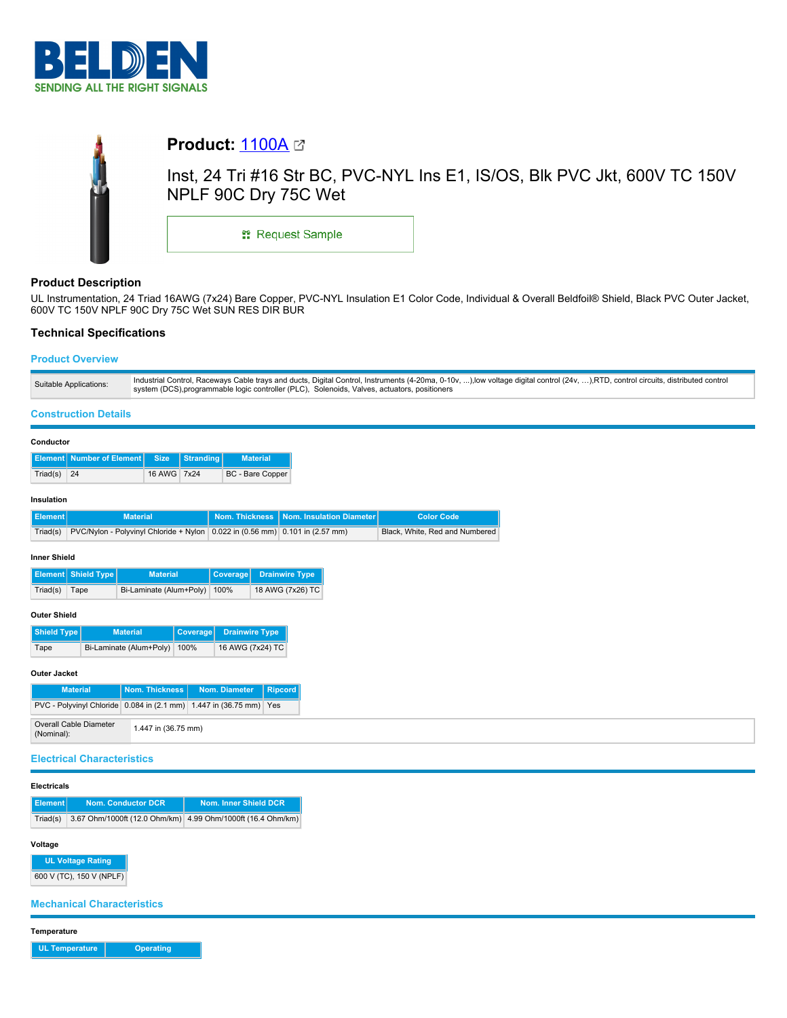



## **Product Description**

UL Instrumentation, 24 Triad 16AWG (7x24) Bare Copper, PVC-NYL Insulation E1 Color Code, Individual & Overall Beldfoil® Shield, Black PVC Outer Jacket, 600V TC 150V NPLF 90C Dry 75C Wet SUN RES DIR BUR

### **Technical Specifications**

### **Product Overview**

| Suitable Applications: | Industrial Control, Raceways Cable trays and ducts, Digital Control, Instruments (4-20ma, 0-10v, ), low voltage digital control (24v, ), RTD, control circuits, distributed control |
|------------------------|-------------------------------------------------------------------------------------------------------------------------------------------------------------------------------------|
|                        | system (DCS),programmable logic controller (PLC), Solenoids, Valves, actuators, positioners                                                                                         |

### **Construction Details**

| Conductor                                                         |                                        |                 |                 |                                       |                         |                       |                          |                                |  |
|-------------------------------------------------------------------|----------------------------------------|-----------------|-----------------|---------------------------------------|-------------------------|-----------------------|--------------------------|--------------------------------|--|
| Element                                                           | <b>Number of Element</b>               | <b>Size</b>     | Stranding       |                                       | <b>Material</b>         |                       |                          |                                |  |
| Triad(s)                                                          | 24                                     | 16 AWG          | 7x24            |                                       | <b>BC</b> - Bare Copper |                       |                          |                                |  |
| Insulation                                                        |                                        |                 |                 |                                       |                         |                       |                          |                                |  |
| <b>Element</b>                                                    |                                        | <b>Material</b> |                 | <b>Nom. Thickness</b>                 |                         |                       | Nom. Insulation Diameter | <b>Color Code</b>              |  |
| Triad(s)                                                          | PVC/Nylon - Polyvinyl Chloride + Nylon |                 |                 | 0.022 in (0.56 mm) 0.101 in (2.57 mm) |                         |                       |                          | Black, White, Red and Numbered |  |
| <b>Inner Shield</b>                                               |                                        |                 |                 |                                       |                         |                       |                          |                                |  |
| Element                                                           | Shield Type<br><b>Material</b>         |                 |                 | Coverage                              |                         | <b>Drainwire Type</b> |                          |                                |  |
| Triad(s)                                                          | Bi-Laminate (Alum+Poly)<br>Tape        |                 |                 | 100%                                  |                         | 18 AWG (7x26) TC      |                          |                                |  |
| <b>Outer Shield</b>                                               |                                        |                 |                 |                                       |                         |                       |                          |                                |  |
| <b>Shield Type</b>                                                | <b>Material</b>                        |                 | <b>Coverage</b> | <b>Drainwire Type</b>                 |                         |                       |                          |                                |  |
| Tape                                                              | Bi-Laminate (Alum+Poly)<br>100%        |                 |                 | 16 AWG (7x24) TC                      |                         |                       |                          |                                |  |
| Outer Jacket                                                      |                                        |                 |                 |                                       |                         |                       |                          |                                |  |
|                                                                   | <b>Material</b>                        | Nom. Thickness  |                 | Nom. Diameter                         | <b>Ripcord</b>          |                       |                          |                                |  |
| PVC - Polyvinyl Chloride 0.084 in (2.1 mm)<br>1.447 in (36.75 mm) |                                        |                 |                 | Yes                                   |                         |                       |                          |                                |  |

### **Electrical Characteristics**

Overall Cable Diameter (Nominal): 1.447 in (36.75 mm)

# **Electricals**

| Element  | <b>Nom. Conductor DCR</b>                                   | Nom. Inner Shield DCR |
|----------|-------------------------------------------------------------|-----------------------|
| Triad(s) | 3.67 Ohm/1000ft (12.0 Ohm/km) 4.99 Ohm/1000ft (16.4 Ohm/km) |                       |

### **Voltage**

**UL Voltage Rating** 600 V (TC), 150 V (NPLF)

**Mechanical Characteristics**

**Temperature**

**UL Temperature Operating**